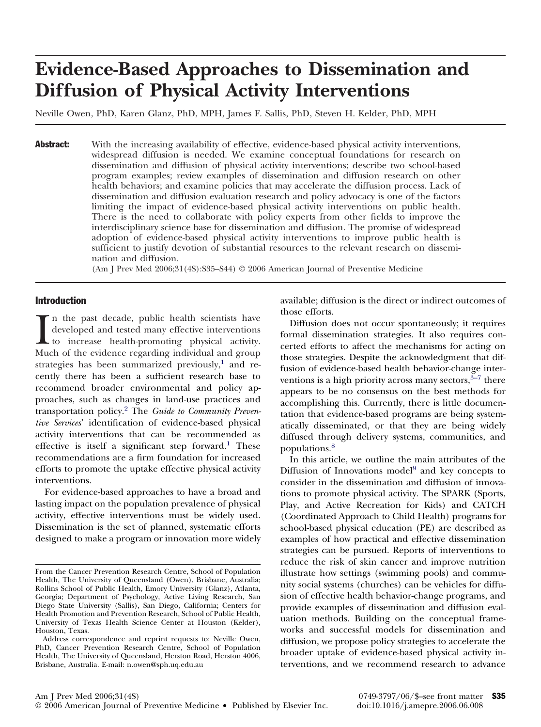# **Evidence-Based Approaches to Dissemination and Diffusion of Physical Activity Interventions**

Neville Owen, PhD, Karen Glanz, PhD, MPH, James F. Sallis, PhD, Steven H. Kelder, PhD, MPH

**Abstract:** With the increasing availability of effective, evidence-based physical activity interventions, widespread diffusion is needed. We examine conceptual foundations for research on dissemination and diffusion of physical activity interventions; describe two school-based program examples; review examples of dissemination and diffusion research on other health behaviors; and examine policies that may accelerate the diffusion process. Lack of dissemination and diffusion evaluation research and policy advocacy is one of the factors limiting the impact of evidence-based physical activity interventions on public health. There is the need to collaborate with policy experts from other fields to improve the interdisciplinary science base for dissemination and diffusion. The promise of widespread adoption of evidence-based physical activity interventions to improve public health is sufficient to justify devotion of substantial resources to the relevant research on dissemination and diffusion.

(Am J Prev Med 2006;31(4S):S35–S44) © 2006 American Journal of Preventive Medicine

#### Introduction

 $\prod_{M_{100}}$ n the past decade, public health scientists have developed and tested many effective interventions to increase health-promoting physical activity. Much of the evidence regarding individual and group strategies has been summarized previously,<sup>1</sup> and recently there has been a sufficient research base to recommend broader environmental and policy approaches, such as changes in land-use practices and transportation policy[.2](#page-8-0) The *Guide to Community Preventive Services*' identification of evidence-based physical activity interventions that can be recommended as effective is itself a significant step forward.<sup>1</sup> These recommendations are a firm foundation for increased efforts to promote the uptake effective physical activity interventions.

For evidence-based approaches to have a broad and lasting impact on the population prevalence of physical activity, effective interventions must be widely used. Dissemination is the set of planned, systematic efforts designed to make a program or innovation more widely available; diffusion is the direct or indirect outcomes of those efforts.

Diffusion does not occur spontaneously; it requires formal dissemination strategies. It also requires concerted efforts to affect the mechanisms for acting on those strategies. Despite the acknowledgment that diffusion of evidence-based health behavior-change interventions is a high priority across many sectors,  $3\frac{3}{7}$  there appears to be no consensus on the best methods for accomplishing this. Currently, there is little documentation that evidence-based programs are being systematically disseminated, or that they are being widely diffused through delivery systems, communities, and populations[.8](#page-8-0)

In this article, we outline the main attributes of the Diffusion of Innovations model $9$  and key concepts to consider in the dissemination and diffusion of innovations to promote physical activity. The SPARK (Sports, Play, and Active Recreation for Kids) and CATCH (Coordinated Approach to Child Health) programs for school-based physical education (PE) are described as examples of how practical and effective dissemination strategies can be pursued. Reports of interventions to reduce the risk of skin cancer and improve nutrition illustrate how settings (swimming pools) and community social systems (churches) can be vehicles for diffusion of effective health behavior-change programs, and provide examples of dissemination and diffusion evaluation methods. Building on the conceptual frameworks and successful models for dissemination and diffusion, we propose policy strategies to accelerate the broader uptake of evidence-based physical activity interventions, and we recommend research to advance

From the Cancer Prevention Research Centre, School of Population Health, The University of Queensland (Owen), Brisbane, Australia; Rollins School of Public Health, Emory University (Glanz), Atlanta, Georgia; Department of Psychology, Active Living Research, San Diego State University (Sallis), San Diego, California; Centers for Health Promotion and Prevention Research, School of Public Health, University of Texas Health Science Center at Houston (Kelder), Houston, Texas.

Address correspondence and reprint requests to: Neville Owen, PhD, Cancer Prevention Research Centre, School of Population Health, The University of Queensland, Herston Road, Herston 4006, Brisbane, Australia. E-mail: n.owen@sph.uq.edu.au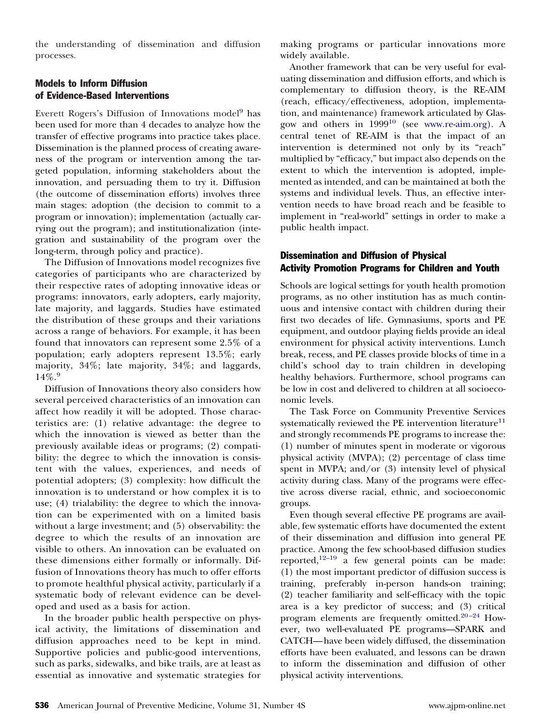the understanding of dissemination and diffusion processes.

# Models to Inform Diffusion of Evidence-Based Interventions

Everett Rogers's Diffusion of Innovations model<sup>9</sup> has been used for more than 4 decades to analyze how the transfer of effective programs into practice takes place. Dissemination is the planned process of creating awareness of the program or intervention among the targeted population, informing stakeholders about the innovation, and persuading them to try it. Diffusion (the outcome of dissemination efforts) involves three main stages: adoption (the decision to commit to a program or innovation); implementation (actually carrying out the program); and institutionalization (integration and sustainability of the program over the long-term, through policy and practice).

The Diffusion of Innovations model recognizes five categories of participants who are characterized by their respective rates of adopting innovative ideas or programs: innovators, early adopters, early majority, late majority, and laggards. Studies have estimated the distribution of these groups and their variations across a range of behaviors. For example, it has been found that innovators can represent some 2.5% of a population; early adopters represent 13.5%; early majority, 34%; late majority, 34%; and laggards, 14%.[9](#page-8-0)

Diffusion of Innovations theory also considers how several perceived characteristics of an innovation can affect how readily it will be adopted. Those characteristics are: (1) relative advantage: the degree to which the innovation is viewed as better than the previously available ideas or programs; (2) compatibility: the degree to which the innovation is consistent with the values, experiences, and needs of potential adopters; (3) complexity: how difficult the innovation is to understand or how complex it is to use; (4) trialability: the degree to which the innovation can be experimented with on a limited basis without a large investment; and (5) observability: the degree to which the results of an innovation are visible to others. An innovation can be evaluated on these dimensions either formally or informally. Diffusion of Innovations theory has much to offer efforts to promote healthful physical activity, particularly if a systematic body of relevant evidence can be developed and used as a basis for action.

In the broader public health perspective on physical activity, the limitations of dissemination and diffusion approaches need to be kept in mind. Supportive policies and public-good interventions, such as parks, sidewalks, and bike trails, are at least as essential as innovative and systematic strategies for making programs or particular innovations more widely available.

Another framework that can be very useful for evaluating dissemination and diffusion efforts, and which is complementary to diffusion theory, is the RE-AIM (reach, efficacy/effectiveness, adoption, implementation, and maintenance) framework articulated by Glasgow and others in  $1999^{10}$  (see [www.re-aim.org\)](http://www.re-aim.org). A central tenet of RE-AIM is that the impact of an intervention is determined not only by its "reach" multiplied by "efficacy," but impact also depends on the extent to which the intervention is adopted, implemented as intended, and can be maintained at both the systems and individual levels. Thus, an effective intervention needs to have broad reach and be feasible to implement in "real-world" settings in order to make a public health impact.

# Dissemination and Diffusion of Physical Activity Promotion Programs for Children and Youth

Schools are logical settings for youth health promotion programs, as no other institution has as much continuous and intensive contact with children during their first two decades of life. Gymnasiums, sports and PE equipment, and outdoor playing fields provide an ideal environment for physical activity interventions. Lunch break, recess, and PE classes provide blocks of time in a child's school day to train children in developing healthy behaviors. Furthermore, school programs can be low in cost and delivered to children at all socioeconomic levels.

The Task Force on Community Preventive Services systematically reviewed the PE intervention literature $11$ and strongly recommends PE programs to increase the: (1) number of minutes spent in moderate or vigorous physical activity (MVPA); (2) percentage of class time spent in MVPA; and/or (3) intensity level of physical activity during class. Many of the programs were effective across diverse racial, ethnic, and socioeconomic groups.

Even though several effective PE programs are available, few systematic efforts have documented the extent of their dissemination and diffusion into general PE practice. Among the few school-based diffusion studies reported, $12-19$  a few general points can be made: (1) the most important predictor of diffusion success is training, preferably in-person hands-on training; (2) teacher familiarity and self-efficacy with the topic area is a key predictor of success; and (3) critical program elements are frequently omitted.<sup>20-24</sup> However, two well-evaluated PE programs—SPARK and CATCH—have been widely diffused, the dissemination efforts have been evaluated, and lessons can be drawn to inform the dissemination and diffusion of other physical activity interventions.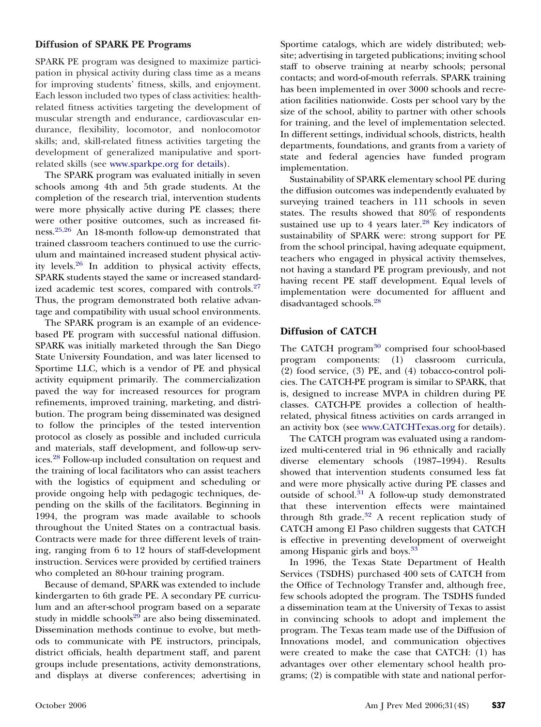#### **Diffusion of SPARK PE Programs**

SPARK PE program was designed to maximize participation in physical activity during class time as a means for improving students' fitness, skills, and enjoyment. Each lesson included two types of class activities: healthrelated fitness activities targeting the development of muscular strength and endurance, cardiovascular endurance, flexibility, locomotor, and nonlocomotor skills; and, skill-related fitness activities targeting the development of generalized manipulative and sportrelated skills (see [www.sparkpe.org for details\)](http://www.sparkpe.org%20for%20details).

The SPARK program was evaluated initially in seven schools among 4th and 5th grade students. At the completion of the research trial, intervention students were more physically active during PE classes; there were other positive outcomes, such as increased fitness[.25,26](#page-8-0) An 18-month follow-up demonstrated that trained classroom teachers continued to use the curriculum and maintained increased student physical activity levels[.26](#page-8-0) In addition to physical activity effects, SPARK students stayed the same or increased standardized academic test scores, compared with controls.<sup>27</sup> Thus, the program demonstrated both relative advantage and compatibility with usual school environments.

The SPARK program is an example of an evidencebased PE program with successful national diffusion. SPARK was initially marketed through the San Diego State University Foundation, and was later licensed to Sportime LLC, which is a vendor of PE and physical activity equipment primarily. The commercialization paved the way for increased resources for program refinements, improved training, marketing, and distribution. The program being disseminated was designed to follow the principles of the tested intervention protocol as closely as possible and included curricula and materials, staff development, and follow-up services[.28](#page-8-0) Follow-up included consultation on request and the training of local facilitators who can assist teachers with the logistics of equipment and scheduling or provide ongoing help with pedagogic techniques, depending on the skills of the facilitators. Beginning in 1994, the program was made available to schools throughout the United States on a contractual basis. Contracts were made for three different levels of training, ranging from 6 to 12 hours of staff-development instruction. Services were provided by certified trainers who completed an 80-hour training program.

Because of demand, SPARK was extended to include kindergarten to 6th grade PE. A secondary PE curriculum and an after-school program based on a separate study in middle schools $29$  are also being disseminated. Dissemination methods continue to evolve, but methods to communicate with PE instructors, principals, district officials, health department staff, and parent groups include presentations, activity demonstrations, and displays at diverse conferences; advertising in

Sportime catalogs, which are widely distributed; website; advertising in targeted publications; inviting school staff to observe training at nearby schools; personal contacts; and word-of-mouth referrals. SPARK training has been implemented in over 3000 schools and recreation facilities nationwide. Costs per school vary by the size of the school, ability to partner with other schools for training, and the level of implementation selected. In different settings, individual schools, districts, health departments, foundations, and grants from a variety of state and federal agencies have funded program implementation.

Sustainability of SPARK elementary school PE during the diffusion outcomes was independently evaluated by surveying trained teachers in 111 schools in seven states. The results showed that 80% of respondents sustained use up to 4 years later. $28$  Key indicators of sustainability of SPARK were: strong support for PE from the school principal, having adequate equipment, teachers who engaged in physical activity themselves, not having a standard PE program previously, and not having recent PE staff development. Equal levels of implementation were documented for affluent and disadvantaged schools[.28](#page-8-0)

### **Diffusion of CATCH**

The CATCH program<sup>30</sup> comprised four school-based program components: (1) classroom curricula, (2) food service, (3) PE, and (4) tobacco-control policies. The CATCH-PE program is similar to SPARK, that is, designed to increase MVPA in children during PE classes. CATCH-PE provides a collection of healthrelated, physical fitness activities on cards arranged in an activity box (see [www.CATCHTexas.org](http://www.CATCHTexas.org) for details).

The CATCH program was evaluated using a randomized multi-centered trial in 96 ethnically and racially diverse elementary schools (1987–1994). Results showed that intervention students consumed less fat and were more physically active during PE classes and outside of school.<sup>31</sup> A follow-up study demonstrated that these intervention effects were maintained through 8th grade. $32$  A recent replication study of CATCH among El Paso children suggests that CATCH is effective in preventing development of overweight among Hispanic girls and boys.<sup>33</sup>

In 1996, the Texas State Department of Health Services (TSDHS) purchased 400 sets of CATCH from the Office of Technology Transfer and, although free, few schools adopted the program. The TSDHS funded a dissemination team at the University of Texas to assist in convincing schools to adopt and implement the program. The Texas team made use of the Diffusion of Innovations model, and communication objectives were created to make the case that CATCH: (1) has advantages over other elementary school health programs; (2) is compatible with state and national perfor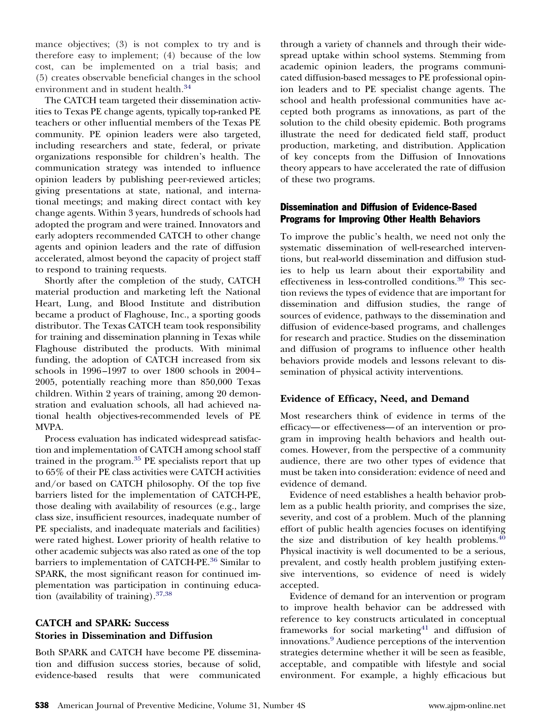mance objectives; (3) is not complex to try and is therefore easy to implement; (4) because of the low cost, can be implemented on a trial basis; and (5) creates observable beneficial changes in the school environment and in student health.<sup>34</sup>

The CATCH team targeted their dissemination activities to Texas PE change agents, typically top-ranked PE teachers or other influential members of the Texas PE community. PE opinion leaders were also targeted, including researchers and state, federal, or private organizations responsible for children's health. The communication strategy was intended to influence opinion leaders by publishing peer-reviewed articles; giving presentations at state, national, and international meetings; and making direct contact with key change agents. Within 3 years, hundreds of schools had adopted the program and were trained. Innovators and early adopters recommended CATCH to other change agents and opinion leaders and the rate of diffusion accelerated, almost beyond the capacity of project staff to respond to training requests.

Shortly after the completion of the study, CATCH material production and marketing left the National Heart, Lung, and Blood Institute and distribution became a product of Flaghouse, Inc., a sporting goods distributor. The Texas CATCH team took responsibility for training and dissemination planning in Texas while Flaghouse distributed the products. With minimal funding, the adoption of CATCH increased from six schools in 1996 –1997 to over 1800 schools in 2004 – 2005, potentially reaching more than 850,000 Texas children. Within 2 years of training, among 20 demonstration and evaluation schools, all had achieved national health objectives-recommended levels of PE MVPA.

Process evaluation has indicated widespread satisfaction and implementation of CATCH among school staff trained in the program.<sup>35</sup> PE specialists report that up to 65% of their PE class activities were CATCH activities and/or based on CATCH philosophy. Of the top five barriers listed for the implementation of CATCH-PE, those dealing with availability of resources (e.g., large class size, insufficient resources, inadequate number of PE specialists, and inadequate materials and facilities) were rated highest. Lower priority of health relative to other academic subjects was also rated as one of the top barriers to implementation of CATCH-PE.<sup>36</sup> Similar to SPARK, the most significant reason for continued implementation was participation in continuing education (availability of training).  $37,38$ 

### **CATCH and SPARK: Success Stories in Dissemination and Diffusion**

Both SPARK and CATCH have become PE dissemination and diffusion success stories, because of solid, evidence-based results that were communicated

through a variety of channels and through their widespread uptake within school systems. Stemming from academic opinion leaders, the programs communicated diffusion-based messages to PE professional opinion leaders and to PE specialist change agents. The school and health professional communities have accepted both programs as innovations, as part of the solution to the child obesity epidemic. Both programs illustrate the need for dedicated field staff, product production, marketing, and distribution. Application of key concepts from the Diffusion of Innovations theory appears to have accelerated the rate of diffusion of these two programs.

# Dissemination and Diffusion of Evidence-Based Programs for Improving Other Health Behaviors

To improve the public's health, we need not only the systematic dissemination of well-researched interventions, but real-world dissemination and diffusion studies to help us learn about their exportability and effectiveness in less-controlled conditions.<sup>39</sup> This section reviews the types of evidence that are important for dissemination and diffusion studies, the range of sources of evidence, pathways to the dissemination and diffusion of evidence-based programs, and challenges for research and practice. Studies on the dissemination and diffusion of programs to influence other health behaviors provide models and lessons relevant to dissemination of physical activity interventions.

# **Evidence of Efficacy, Need, and Demand**

Most researchers think of evidence in terms of the efficacy— or effectiveness— of an intervention or program in improving health behaviors and health outcomes. However, from the perspective of a community audience, there are two other types of evidence that must be taken into consideration: evidence of need and evidence of demand.

Evidence of need establishes a health behavior problem as a public health priority, and comprises the size, severity, and cost of a problem. Much of the planning effort of public health agencies focuses on identifying the size and distribution of key health problems.  $40$ Physical inactivity is well documented to be a serious, prevalent, and costly health problem justifying extensive interventions, so evidence of need is widely accepted.

Evidence of demand for an intervention or program to improve health behavior can be addressed with reference to key constructs articulated in conceptual frameworks for social marketing $41$  and diffusion of innovations[.9](#page-8-0) Audience perceptions of the intervention strategies determine whether it will be seen as feasible, acceptable, and compatible with lifestyle and social environment. For example, a highly efficacious but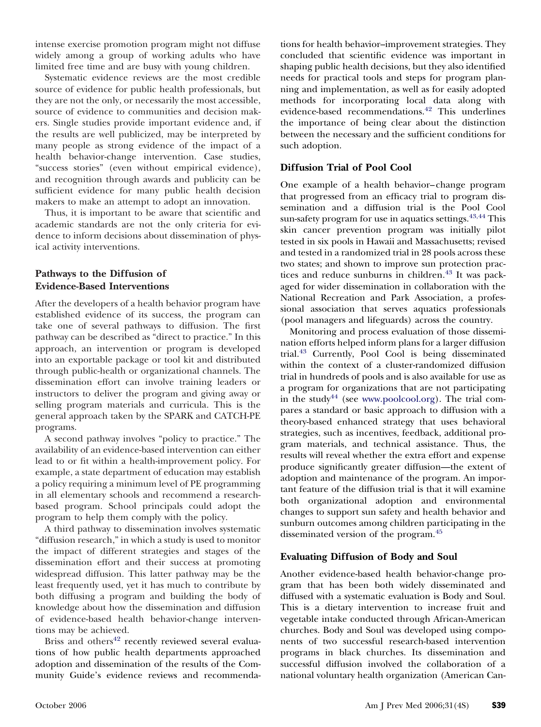intense exercise promotion program might not diffuse widely among a group of working adults who have limited free time and are busy with young children.

Systematic evidence reviews are the most credible source of evidence for public health professionals, but they are not the only, or necessarily the most accessible, source of evidence to communities and decision makers. Single studies provide important evidence and, if the results are well publicized, may be interpreted by many people as strong evidence of the impact of a health behavior-change intervention. Case studies, "success stories" (even without empirical evidence), and recognition through awards and publicity can be sufficient evidence for many public health decision makers to make an attempt to adopt an innovation.

Thus, it is important to be aware that scientific and academic standards are not the only criteria for evidence to inform decisions about dissemination of physical activity interventions.

#### **Pathways to the Diffusion of Evidence-Based Interventions**

After the developers of a health behavior program have established evidence of its success, the program can take one of several pathways to diffusion. The first pathway can be described as "direct to practice." In this approach, an intervention or program is developed into an exportable package or tool kit and distributed through public-health or organizational channels. The dissemination effort can involve training leaders or instructors to deliver the program and giving away or selling program materials and curricula. This is the general approach taken by the SPARK and CATCH-PE programs.

A second pathway involves "policy to practice." The availability of an evidence-based intervention can either lead to or fit within a health-improvement policy. For example, a state department of education may establish a policy requiring a minimum level of PE programming in all elementary schools and recommend a researchbased program. School principals could adopt the program to help them comply with the policy.

A third pathway to dissemination involves systematic "diffusion research," in which a study is used to monitor the impact of different strategies and stages of the dissemination effort and their success at promoting widespread diffusion. This latter pathway may be the least frequently used, yet it has much to contribute by both diffusing a program and building the body of knowledge about how the dissemination and diffusion of evidence-based health behavior-change interventions may be achieved.

Briss and others $42$  recently reviewed several evaluations of how public health departments approached adoption and dissemination of the results of the Community Guide's evidence reviews and recommenda-

tions for health behavior–improvement strategies. They concluded that scientific evidence was important in shaping public health decisions, but they also identified needs for practical tools and steps for program planning and implementation, as well as for easily adopted methods for incorporating local data along with evidence-based recommendations[.42](#page-9-0) This underlines the importance of being clear about the distinction between the necessary and the sufficient conditions for such adoption.

#### **Diffusion Trial of Pool Cool**

One example of a health behavior– change program that progressed from an efficacy trial to program dissemination and a diffusion trial is the Pool Cool sun-safety program for use in aquatics settings.<sup>43,44</sup> This skin cancer prevention program was initially pilot tested in six pools in Hawaii and Massachusetts; revised and tested in a randomized trial in 28 pools across these two states; and shown to improve sun protection practices and reduce sunburns in children.<sup>43</sup> It was packaged for wider dissemination in collaboration with the National Recreation and Park Association, a professional association that serves aquatics professionals (pool managers and lifeguards) across the country.

Monitoring and process evaluation of those dissemination efforts helped inform plans for a larger diffusion trial[.43](#page-9-0) Currently, Pool Cool is being disseminated within the context of a cluster-randomized diffusion trial in hundreds of pools and is also available for use as a program for organizations that are not participating in the study<sup>44</sup> (see [www.poolcool.org\)](http://www.poolcool.org). The trial compares a standard or basic approach to diffusion with a theory-based enhanced strategy that uses behavioral strategies, such as incentives, feedback, additional program materials, and technical assistance. Thus, the results will reveal whether the extra effort and expense produce significantly greater diffusion—the extent of adoption and maintenance of the program. An important feature of the diffusion trial is that it will examine both organizational adoption and environmental changes to support sun safety and health behavior and sunburn outcomes among children participating in the disseminated version of the program[.45](#page-9-0)

#### **Evaluating Diffusion of Body and Soul**

Another evidence-based health behavior-change program that has been both widely disseminated and diffused with a systematic evaluation is Body and Soul. This is a dietary intervention to increase fruit and vegetable intake conducted through African-American churches. Body and Soul was developed using components of two successful research-based intervention programs in black churches. Its dissemination and successful diffusion involved the collaboration of a national voluntary health organization (American Can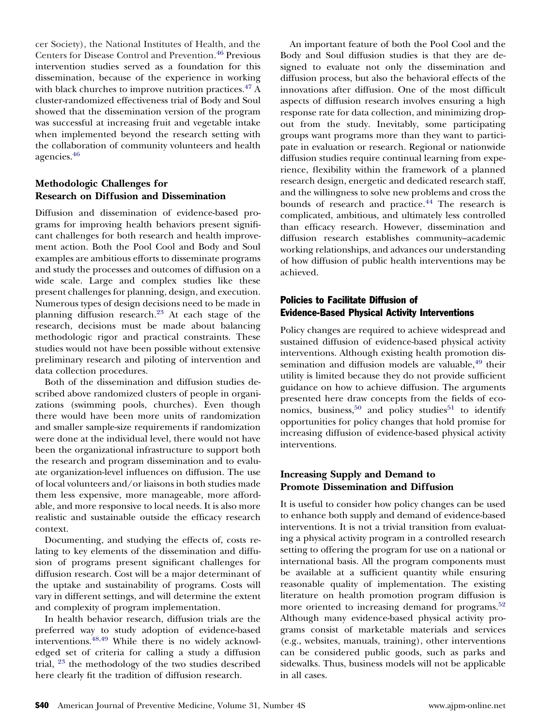cer Society), the National Institutes of Health, and the Centers for Disease Control and Prevention.<sup>46</sup> Previous intervention studies served as a foundation for this dissemination, because of the experience in working with black churches to improve nutrition practices.<sup>47</sup> A cluster-randomized effectiveness trial of Body and Soul showed that the dissemination version of the program was successful at increasing fruit and vegetable intake when implemented beyond the research setting with the collaboration of community volunteers and health agencies[.46](#page-9-0)

# **Methodologic Challenges for Research on Diffusion and Dissemination**

Diffusion and dissemination of evidence-based programs for improving health behaviors present significant challenges for both research and health improvement action. Both the Pool Cool and Body and Soul examples are ambitious efforts to disseminate programs and study the processes and outcomes of diffusion on a wide scale. Large and complex studies like these present challenges for planning, design, and execution. Numerous types of design decisions need to be made in planning diffusion research[.23](#page-8-0) At each stage of the research, decisions must be made about balancing methodologic rigor and practical constraints. These studies would not have been possible without extensive preliminary research and piloting of intervention and data collection procedures.

Both of the dissemination and diffusion studies described above randomized clusters of people in organizations (swimming pools, churches). Even though there would have been more units of randomization and smaller sample-size requirements if randomization were done at the individual level, there would not have been the organizational infrastructure to support both the research and program dissemination and to evaluate organization-level influences on diffusion. The use of local volunteers and/or liaisons in both studies made them less expensive, more manageable, more affordable, and more responsive to local needs. It is also more realistic and sustainable outside the efficacy research context.

Documenting, and studying the effects of, costs relating to key elements of the dissemination and diffusion of programs present significant challenges for diffusion research. Cost will be a major determinant of the uptake and sustainability of programs. Costs will vary in different settings, and will determine the extent and complexity of program implementation.

In health behavior research, diffusion trials are the preferred way to study adoption of evidence-based interventions[.48,49](#page-9-0) While there is no widely acknowledged set of criteria for calling a study a diffusion trial, [23](#page-8-0) the methodology of the two studies described here clearly fit the tradition of diffusion research.

An important feature of both the Pool Cool and the Body and Soul diffusion studies is that they are designed to evaluate not only the dissemination and diffusion process, but also the behavioral effects of the innovations after diffusion. One of the most difficult aspects of diffusion research involves ensuring a high response rate for data collection, and minimizing dropout from the study. Inevitably, some participating groups want programs more than they want to participate in evaluation or research. Regional or nationwide diffusion studies require continual learning from experience, flexibility within the framework of a planned research design, energetic and dedicated research staff, and the willingness to solve new problems and cross the bounds of research and practice.<sup>44</sup> The research is complicated, ambitious, and ultimately less controlled than efficacy research. However, dissemination and diffusion research establishes community–academic working relationships, and advances our understanding of how diffusion of public health interventions may be achieved.

# Policies to Facilitate Diffusion of Evidence-Based Physical Activity Interventions

Policy changes are required to achieve widespread and sustained diffusion of evidence-based physical activity interventions. Although existing health promotion dissemination and diffusion models are valuable,<sup>49</sup> their utility is limited because they do not provide sufficient guidance on how to achieve diffusion. The arguments presented here draw concepts from the fields of economics, business,  $50$  and policy studies  $51$  to identify opportunities for policy changes that hold promise for increasing diffusion of evidence-based physical activity interventions.

# **Increasing Supply and Demand to Promote Dissemination and Diffusion**

It is useful to consider how policy changes can be used to enhance both supply and demand of evidence-based interventions. It is not a trivial transition from evaluating a physical activity program in a controlled research setting to offering the program for use on a national or international basis. All the program components must be available at a sufficient quantity while ensuring reasonable quality of implementation. The existing literature on health promotion program diffusion is more oriented to increasing demand for programs.<sup>52</sup> Although many evidence-based physical activity programs consist of marketable materials and services (e.g., websites, manuals, training), other interventions can be considered public goods, such as parks and sidewalks. Thus, business models will not be applicable in all cases.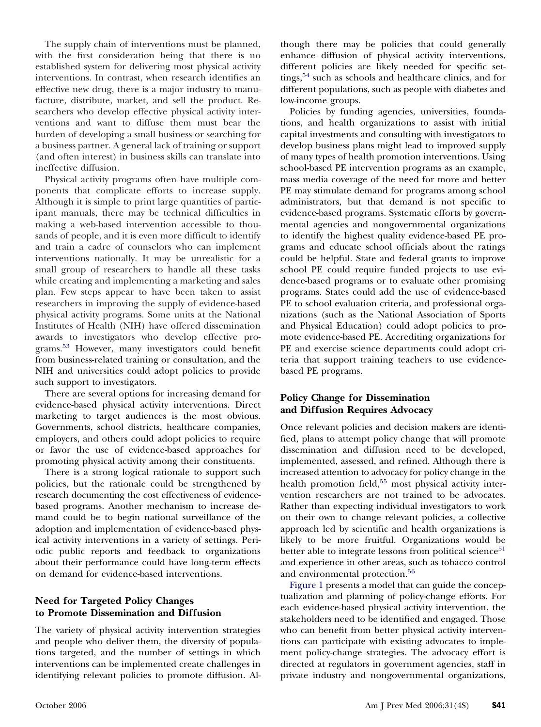The supply chain of interventions must be planned, with the first consideration being that there is no established system for delivering most physical activity interventions. In contrast, when research identifies an effective new drug, there is a major industry to manufacture, distribute, market, and sell the product. Researchers who develop effective physical activity interventions and want to diffuse them must bear the burden of developing a small business or searching for a business partner. A general lack of training or support (and often interest) in business skills can translate into ineffective diffusion.

Physical activity programs often have multiple components that complicate efforts to increase supply. Although it is simple to print large quantities of participant manuals, there may be technical difficulties in making a web-based intervention accessible to thousands of people, and it is even more difficult to identify and train a cadre of counselors who can implement interventions nationally. It may be unrealistic for a small group of researchers to handle all these tasks while creating and implementing a marketing and sales plan. Few steps appear to have been taken to assist researchers in improving the supply of evidence-based physical activity programs. Some units at the National Institutes of Health (NIH) have offered dissemination awards to investigators who develop effective programs[.53](#page-9-0) However, many investigators could benefit from business-related training or consultation, and the NIH and universities could adopt policies to provide such support to investigators.

There are several options for increasing demand for evidence-based physical activity interventions. Direct marketing to target audiences is the most obvious. Governments, school districts, healthcare companies, employers, and others could adopt policies to require or favor the use of evidence-based approaches for promoting physical activity among their constituents.

There is a strong logical rationale to support such policies, but the rationale could be strengthened by research documenting the cost effectiveness of evidencebased programs. Another mechanism to increase demand could be to begin national surveillance of the adoption and implementation of evidence-based physical activity interventions in a variety of settings. Periodic public reports and feedback to organizations about their performance could have long-term effects on demand for evidence-based interventions.

#### **Need for Targeted Policy Changes to Promote Dissemination and Diffusion**

The variety of physical activity intervention strategies and people who deliver them, the diversity of populations targeted, and the number of settings in which interventions can be implemented create challenges in identifying relevant policies to promote diffusion. Al-

though there may be policies that could generally enhance diffusion of physical activity interventions, different policies are likely needed for specific settings,<sup>54</sup> such as schools and healthcare clinics, and for different populations, such as people with diabetes and low-income groups.

Policies by funding agencies, universities, foundations, and health organizations to assist with initial capital investments and consulting with investigators to develop business plans might lead to improved supply of many types of health promotion interventions. Using school-based PE intervention programs as an example, mass media coverage of the need for more and better PE may stimulate demand for programs among school administrators, but that demand is not specific to evidence-based programs. Systematic efforts by governmental agencies and nongovernmental organizations to identify the highest quality evidence-based PE programs and educate school officials about the ratings could be helpful. State and federal grants to improve school PE could require funded projects to use evidence-based programs or to evaluate other promising programs. States could add the use of evidence-based PE to school evaluation criteria, and professional organizations (such as the National Association of Sports and Physical Education) could adopt policies to promote evidence-based PE. Accrediting organizations for PE and exercise science departments could adopt criteria that support training teachers to use evidencebased PE programs.

#### **Policy Change for Dissemination and Diffusion Requires Advocacy**

Once relevant policies and decision makers are identified, plans to attempt policy change that will promote dissemination and diffusion need to be developed, implemented, assessed, and refined. Although there is increased attention to advocacy for policy change in the health promotion field,<sup>55</sup> most physical activity intervention researchers are not trained to be advocates. Rather than expecting individual investigators to work on their own to change relevant policies, a collective approach led by scientific and health organizations is likely to be more fruitful. Organizations would be better able to integrate lessons from political science $51$ and experience in other areas, such as tobacco control and environmental protection.<sup>56</sup>

[Figure 1](#page-7-0) presents a model that can guide the conceptualization and planning of policy-change efforts. For each evidence-based physical activity intervention, the stakeholders need to be identified and engaged. Those who can benefit from better physical activity interventions can participate with existing advocates to implement policy-change strategies. The advocacy effort is directed at regulators in government agencies, staff in private industry and nongovernmental organizations,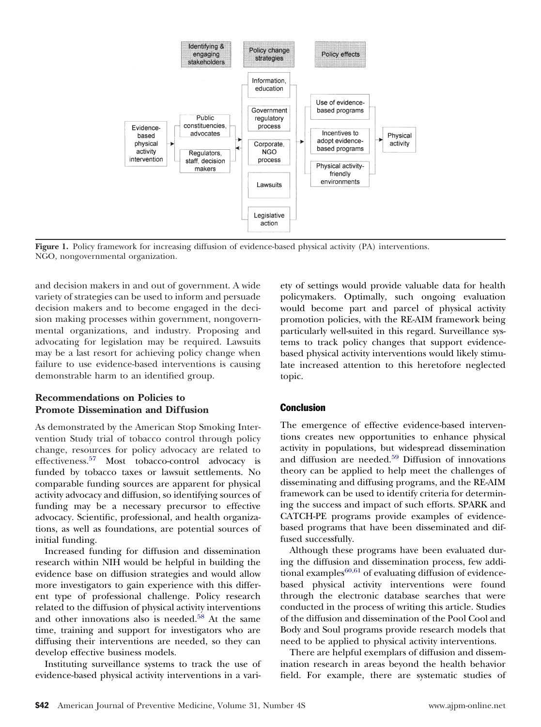<span id="page-7-0"></span>

Figure 1. Policy framework for increasing diffusion of evidence-based physical activity (PA) interventions. NGO, nongovernmental organization.

and decision makers in and out of government. A wide variety of strategies can be used to inform and persuade decision makers and to become engaged in the decision making processes within government, nongovernmental organizations, and industry. Proposing and advocating for legislation may be required. Lawsuits may be a last resort for achieving policy change when failure to use evidence-based interventions is causing demonstrable harm to an identified group.

#### **Recommendations on Policies to Promote Dissemination and Diffusion**

As demonstrated by the American Stop Smoking Intervention Study trial of tobacco control through policy change, resources for policy advocacy are related to effectiveness[.57](#page-9-0) Most tobacco-control advocacy is funded by tobacco taxes or lawsuit settlements. No comparable funding sources are apparent for physical activity advocacy and diffusion, so identifying sources of funding may be a necessary precursor to effective advocacy. Scientific, professional, and health organizations, as well as foundations, are potential sources of initial funding.

Increased funding for diffusion and dissemination research within NIH would be helpful in building the evidence base on diffusion strategies and would allow more investigators to gain experience with this different type of professional challenge. Policy research related to the diffusion of physical activity interventions and other innovations also is needed.<sup>58</sup> At the same time, training and support for investigators who are diffusing their interventions are needed, so they can develop effective business models.

Instituting surveillance systems to track the use of evidence-based physical activity interventions in a variety of settings would provide valuable data for health policymakers. Optimally, such ongoing evaluation would become part and parcel of physical activity promotion policies, with the RE-AIM framework being particularly well-suited in this regard. Surveillance systems to track policy changes that support evidencebased physical activity interventions would likely stimulate increased attention to this heretofore neglected topic.

#### **Conclusion**

The emergence of effective evidence-based interventions creates new opportunities to enhance physical activity in populations, but widespread dissemination and diffusion are needed[.59](#page-9-0) Diffusion of innovations theory can be applied to help meet the challenges of disseminating and diffusing programs, and the RE-AIM framework can be used to identify criteria for determining the success and impact of such efforts. SPARK and CATCH-PE programs provide examples of evidencebased programs that have been disseminated and diffused successfully.

Although these programs have been evaluated during the diffusion and dissemination process, few additional examples<sup>60,61</sup> of evaluating diffusion of evidencebased physical activity interventions were found through the electronic database searches that were conducted in the process of writing this article. Studies of the diffusion and dissemination of the Pool Cool and Body and Soul programs provide research models that need to be applied to physical activity interventions.

There are helpful exemplars of diffusion and dissemination research in areas beyond the health behavior field. For example, there are systematic studies of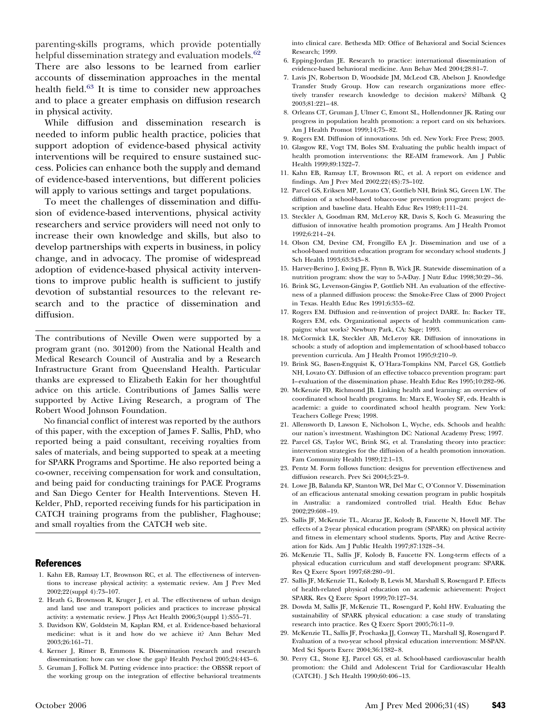<span id="page-8-0"></span>parenting-skills programs, which provide potentially helpful dissemination strategy and evaluation models.<sup>62</sup> There are also lessons to be learned from earlier accounts of dissemination approaches in the mental health field. $63$  It is time to consider new approaches and to place a greater emphasis on diffusion research in physical activity.

While diffusion and dissemination research is needed to inform public health practice, policies that support adoption of evidence-based physical activity interventions will be required to ensure sustained success. Policies can enhance both the supply and demand of evidence-based interventions, but different policies will apply to various settings and target populations.

To meet the challenges of dissemination and diffusion of evidence-based interventions, physical activity researchers and service providers will need not only to increase their own knowledge and skills, but also to develop partnerships with experts in business, in policy change, and in advocacy. The promise of widespread adoption of evidence-based physical activity interventions to improve public health is sufficient to justify devotion of substantial resources to the relevant research and to the practice of dissemination and diffusion.

The contributions of Neville Owen were supported by a program grant (no. 301200) from the National Health and Medical Research Council of Australia and by a Research Infrastructure Grant from Queensland Health. Particular thanks are expressed to Elizabeth Eakin for her thoughtful advice on this article. Contributions of James Sallis were supported by Active Living Research, a program of The Robert Wood Johnson Foundation.

No financial conflict of interest was reported by the authors of this paper, with the exception of James F. Sallis, PhD, who reported being a paid consultant, receiving royalties from sales of materials, and being supported to speak at a meeting for SPARK Programs and Sportime. He also reported being a co-owner, receiving compensation for work and consultation, and being paid for conducting trainings for PACE Programs and San Diego Center for Health Interventions. Steven H. Kelder, PhD, reported receiving funds for his participation in CATCH training programs from the publisher, Flaghouse; and small royalties from the CATCH web site.

#### References

- 1. Kahn EB, Ramsay LT, Brownson RC, et al. The effectiveness of interventions to increase physical activity: a systematic review. Am J Prev Med 2002;22(suppl 4):73–107.
- 2. Heath G, Brownson R, Kruger J, et al. The effectiveness of urban design and land use and transport policies and practices to increase physical activity: a systematic review. J Phys Act Health 2006;3(suppl 1):S55–71.
- 3. Davidson KW, Goldstein M, Kaplan RM, et al. Evidence-based behavioral medicine: what is it and how do we achieve it? Ann Behav Med 2003;26:161–71.
- 4. Kerner J, Rimer B, Emmons K. Dissemination research and research dissemination: how can we close the gap? Health Psychol 2005;24:443-6.
- 5. Gruman J, Follick M. Putting evidence into practice: the OBSSR report of the working group on the integration of effective behavioral treatments

into clinical care. Bethesda MD: Office of Behavioral and Social Sciences Research; 1999.

- 6. Epping-Jordan JE. Research to practice: international dissemination of evidence-based behavioral medicine. Ann Behav Med 2004;28:81–7.
- 7. Lavis JN, Robertson D, Woodside JM, McLeod CB, Abelson J. Knowledge Transfer Study Group. How can research organizations more effectively transfer research knowledge to decision makers? Milbank Q 2003;81:221– 48.
- 8. Orleans CT, Gruman J, Ulmer C, Emont SL, Hollendonner JK. Rating our progress in population health promotion: a report card on six behaviors. Am J Health Promot 1999;14;75– 82.
- 9. Rogers EM. Diffusion of innovations. 5th ed. New York: Free Press; 2003.
- 10. Glasgow RE, Vogt TM, Boles SM. Evaluating the public health impact of health promotion interventions: the RE-AIM framework. Am J Public Health 1999;89:1322–7.
- 11. Kahn EB, Ramsay LT, Brownson RC, et al. A report on evidence and findings. Am J Prev Med 2002;22(4S):73–102.
- 12. Parcel GS, Eriksen MP, Lovato CY, Gottlieb NH, Brink SG, Green LW. The diffusion of a school-based tobacco-use prevention program: project description and baseline data. Health Educ Res 1989;4:111–24.
- 13. Steckler A, Goodman RM, McLeroy KR, Davis S, Koch G. Measuring the diffusion of innovative health promotion programs. Am J Health Promot 1992;6:214 –24.
- 14. Olson CM, Devine CM, Frongillo EA Jr. Dissemination and use of a school-based nutrition education program for secondary school students. J Sch Health 1993;63:343– 8.
- 15. Harvey-Berino J, Ewing JE, Flynn B, Wick JR. Statewide dissemination of a nutrition program: show the way to 5-A-Day. J Nutr Educ 1998;30:29 –36.
- 16. Brink SG, Levenson-Gingiss P, Gottlieb NH. An evaluation of the effectiveness of a planned diffusion process: the Smoke-Free Class of 2000 Project in Texas. Health Educ Res 1991;6:353– 62.
- 17. Rogers EM. Diffusion and re-invention of project DARE. In: Backer TE, Rogers EM, eds. Organizational aspects of health communication campaigns: what works? Newbury Park, CA: Sage; 1993.
- 18. McCormick LK, Steckler AB, McLeroy KR. Diffusion of innovations in schools: a study of adoption and implementation of school-based tobacco prevention curricula. Am J Health Promot 1995;9:210 –9.
- 19. Brink SG, Basen-Engquist K, O'Hara-Tompkins NM, Parcel GS, Gottlieb NH, Lovato CY. Diffusion of an effective tobacco prevention program: part I– evaluation of the dissemination phase. Health Educ Res 1995;10:282–96.
- 20. McKenzie FD, Richmond JB. Linking health and learning: an overview of coordinated school health programs. In: Marx E, Wooley SF, eds. Health is academic: a guide to coordinated school health program. New York: Teachers College Press; 1998.
- 21. Allensworth D, Lawson E, Nicholson L, Wyche, eds. Schools and health: our nation's investment. Washington DC: National Academy Press; 1997.
- 22. Parcel GS, Taylor WC, Brink SG, et al. Translating theory into practice: intervention strategies for the diffusion of a health promotion innovation. Fam Community Health 1989;12:1–13.
- 23. Pentz M. Form follows function: designs for prevention effectiveness and diffusion research. Prev Sci 2004;5:23–9.
- 24. Lowe JB, Balanda KP, Stanton WR, Del Mar C, O'Connor V. Dissemination of an efficacious antenatal smoking cessation program in public hospitals in Australia: a randomized controlled trial. Health Educ Behav 2002;29:608 –19.
- 25. Sallis JF, McKenzie TL, Alcaraz JE, Kolody B, Faucette N, Hovell MF. The effects of a 2-year physical education program (SPARK) on physical activity and fitness in elementary school students. Sports, Play and Active Recreation for Kids. Am J Public Health 1997;87:1328 –34.
- 26. McKenzie TL, Sallis JF, Kolody B, Faucette FN. Long-term effects of a physical education curriculum and staff development program: SPARK. Res Q Exerc Sport 1997;68:280 –91.
- 27. Sallis JF, McKenzie TL, Kolody B, Lewis M, Marshall S, Rosengard P. Effects of health-related physical education on academic achievement: Project SPARK. Res Q Exerc Sport 1999;70:127–34.
- 28. Dowda M, Sallis JF, McKenzie TL, Rosengard P, Kohl HW. Evaluating the sustainability of SPARK physical education: a case study of translating research into practice. Res Q Exerc Sport 2005;76:11–9.
- 29. McKenzie TL, Sallis JF, Prochaska JJ, Conway TL, Marshall SJ, Rosengard P. Evaluation of a two-year school physical education intervention: M-SPAN. Med Sci Sports Exerc 2004;36:1382– 8.
- 30. Perry CL, Stone EJ, Parcel GS, et al. School-based cardiovascular health promotion: the Child and Adolescent Trial for Cardiovascular Health (CATCH). J Sch Health 1990;60:406 –13.